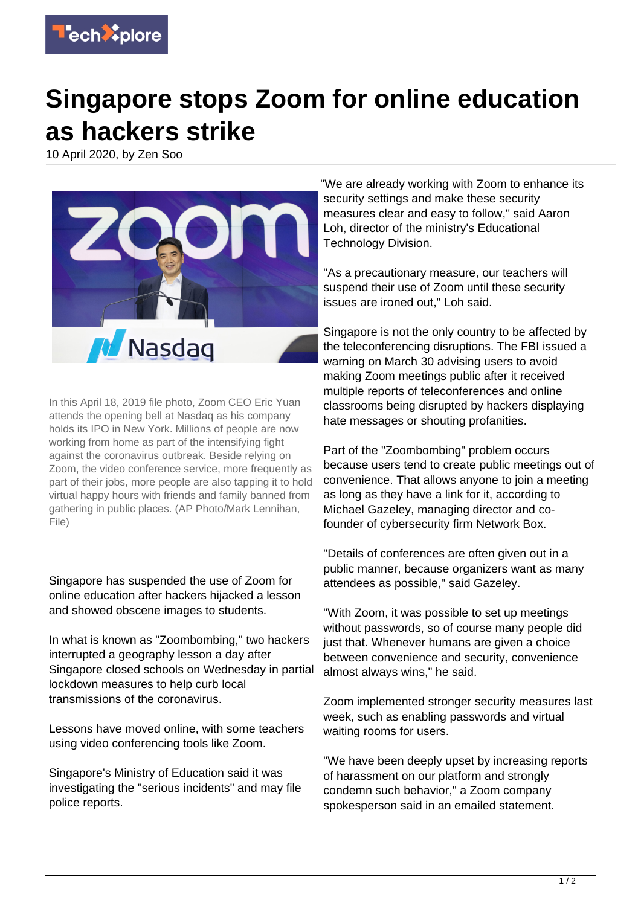

## **Singapore stops Zoom for online education as hackers strike**

10 April 2020, by Zen Soo



In this April 18, 2019 file photo, Zoom CEO Eric Yuan attends the opening bell at Nasdaq as his company holds its IPO in New York. Millions of people are now working from home as part of the intensifying fight against the coronavirus outbreak. Beside relying on Zoom, the video conference service, more frequently as part of their jobs, more people are also tapping it to hold virtual happy hours with friends and family banned from gathering in public places. (AP Photo/Mark Lennihan, File)

Singapore has suspended the use of Zoom for online education after hackers hijacked a lesson and showed obscene images to students.

In what is known as "Zoombombing," two hackers interrupted a geography lesson a day after Singapore closed schools on Wednesday in partial lockdown measures to help curb local transmissions of the coronavirus.

Lessons have moved online, with some teachers using video conferencing tools like Zoom.

Singapore's Ministry of Education said it was investigating the "serious incidents" and may file police reports.

"We are already working with Zoom to enhance its security settings and make these security measures clear and easy to follow," said Aaron Loh, director of the ministry's Educational Technology Division.

"As a precautionary measure, our teachers will suspend their use of Zoom until these security issues are ironed out," Loh said.

Singapore is not the only country to be affected by the teleconferencing disruptions. The FBI issued a warning on March 30 advising users to avoid making Zoom meetings public after it received multiple reports of teleconferences and online classrooms being disrupted by hackers displaying hate messages or shouting profanities.

Part of the "Zoombombing" problem occurs because users tend to create public meetings out of convenience. That allows anyone to join a meeting as long as they have a link for it, according to Michael Gazeley, managing director and cofounder of cybersecurity firm Network Box.

"Details of conferences are often given out in a public manner, because organizers want as many attendees as possible," said Gazeley.

"With Zoom, it was possible to set up meetings without passwords, so of course many people did just that. Whenever humans are given a choice between convenience and security, convenience almost always wins," he said.

Zoom implemented stronger security measures last week, such as enabling passwords and virtual waiting rooms for users.

"We have been deeply upset by increasing reports of harassment on our platform and strongly condemn such behavior," a Zoom company spokesperson said in an emailed statement.